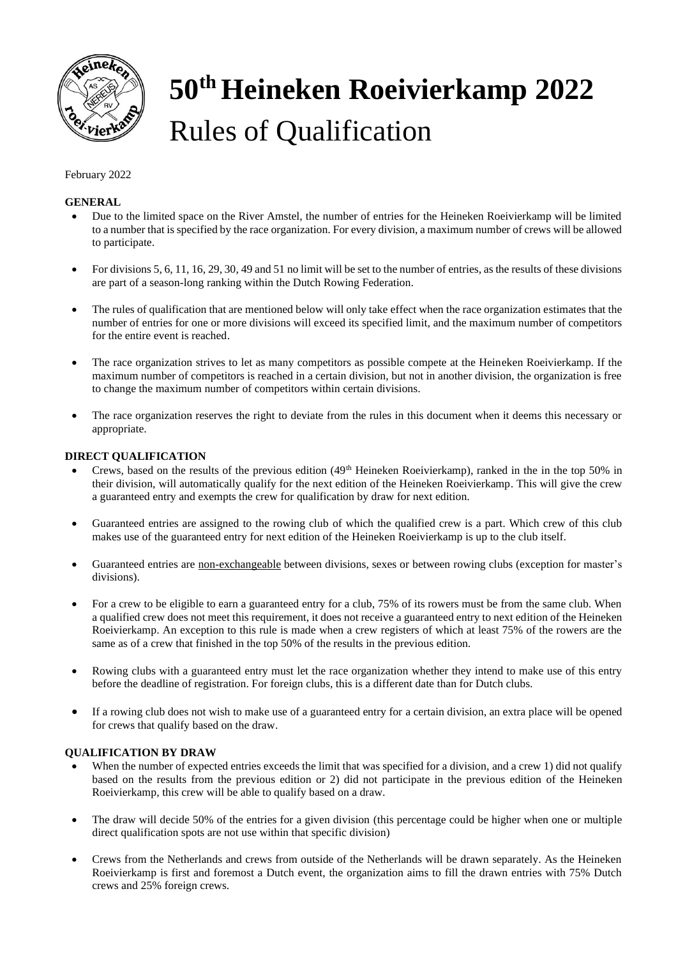

# **50th Heineken Roeivierkamp 2022** Rules of Qualification

## February 2022

## **GENERAL**

- Due to the limited space on the River Amstel, the number of entries for the Heineken Roeivierkamp will be limited to a number that is specified by the race organization. For every division, a maximum number of crews will be allowed to participate.
- For divisions 5, 6, 11, 16, 29, 30, 49 and 51 no limit will be set to the number of entries, as the results of these divisions are part of a season-long ranking within the Dutch Rowing Federation.
- The rules of qualification that are mentioned below will only take effect when the race organization estimates that the number of entries for one or more divisions will exceed its specified limit, and the maximum number of competitors for the entire event is reached.
- The race organization strives to let as many competitors as possible compete at the Heineken Roeivierkamp. If the maximum number of competitors is reached in a certain division, but not in another division, the organization is free to change the maximum number of competitors within certain divisions.
- The race organization reserves the right to deviate from the rules in this document when it deems this necessary or appropriate.

## **DIRECT QUALIFICATION**

- Crews, based on the results of the previous edition  $(49<sup>th</sup>$  Heineken Roeivierkamp), ranked in the in the top 50% in their division, will automatically qualify for the next edition of the Heineken Roeivierkamp. This will give the crew a guaranteed entry and exempts the crew for qualification by draw for next edition.
- Guaranteed entries are assigned to the rowing club of which the qualified crew is a part. Which crew of this club makes use of the guaranteed entry for next edition of the Heineken Roeivierkamp is up to the club itself.
- Guaranteed entries are non-exchangeable between divisions, sexes or between rowing clubs (exception for master's divisions).
- For a crew to be eligible to earn a guaranteed entry for a club, 75% of its rowers must be from the same club. When a qualified crew does not meet this requirement, it does not receive a guaranteed entry to next edition of the Heineken Roeivierkamp. An exception to this rule is made when a crew registers of which at least 75% of the rowers are the same as of a crew that finished in the top 50% of the results in the previous edition.
- Rowing clubs with a guaranteed entry must let the race organization whether they intend to make use of this entry before the deadline of registration. For foreign clubs, this is a different date than for Dutch clubs.
- If a rowing club does not wish to make use of a guaranteed entry for a certain division, an extra place will be opened for crews that qualify based on the draw.

## **QUALIFICATION BY DRAW**

- When the number of expected entries exceeds the limit that was specified for a division, and a crew 1) did not qualify based on the results from the previous edition or 2) did not participate in the previous edition of the Heineken Roeivierkamp, this crew will be able to qualify based on a draw.
- The draw will decide 50% of the entries for a given division (this percentage could be higher when one or multiple direct qualification spots are not use within that specific division)
- Crews from the Netherlands and crews from outside of the Netherlands will be drawn separately. As the Heineken Roeivierkamp is first and foremost a Dutch event, the organization aims to fill the drawn entries with 75% Dutch crews and 25% foreign crews.